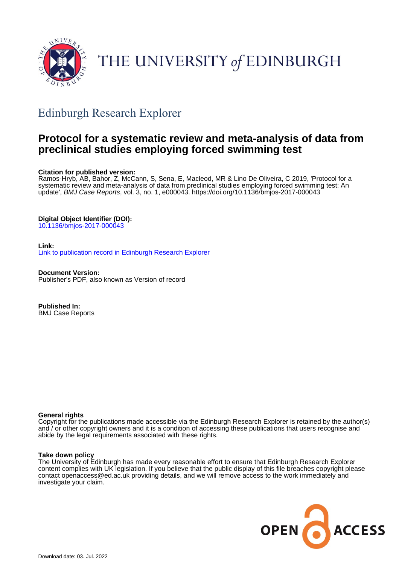

# THE UNIVERSITY of EDINBURGH

# Edinburgh Research Explorer

## **Protocol for a systematic review and meta-analysis of data from preclinical studies employing forced swimming test**

#### **Citation for published version:**

Ramos-Hryb, AB, Bahor, Z, McCann, S, Sena, E, Macleod, MR & Lino De Oliveira, C 2019, 'Protocol for a systematic review and meta-analysis of data from preclinical studies employing forced swimming test: An update', BMJ Case Reports, vol. 3, no. 1, e000043.<https://doi.org/10.1136/bmjos-2017-000043>

### **Digital Object Identifier (DOI):**

[10.1136/bmjos-2017-000043](https://doi.org/10.1136/bmjos-2017-000043)

#### **Link:**

[Link to publication record in Edinburgh Research Explorer](https://www.research.ed.ac.uk/en/publications/0dbe1c8e-c3ea-41dc-8798-332757af2509)

**Document Version:** Publisher's PDF, also known as Version of record

**Published In:** BMJ Case Reports

#### **General rights**

Copyright for the publications made accessible via the Edinburgh Research Explorer is retained by the author(s) and / or other copyright owners and it is a condition of accessing these publications that users recognise and abide by the legal requirements associated with these rights.

#### **Take down policy**

The University of Edinburgh has made every reasonable effort to ensure that Edinburgh Research Explorer content complies with UK legislation. If you believe that the public display of this file breaches copyright please contact openaccess@ed.ac.uk providing details, and we will remove access to the work immediately and investigate your claim.

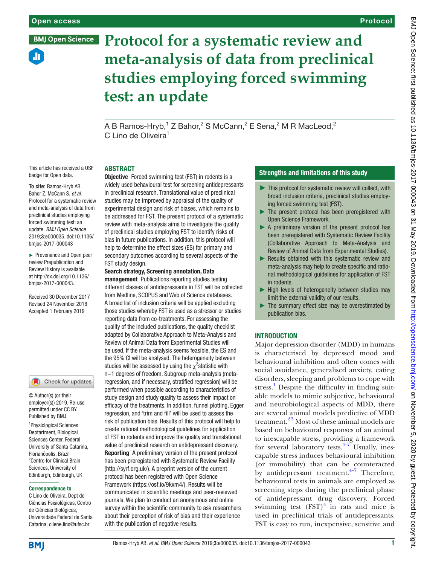ah.

**BMJ Open Science** 

## Protocol

# **Protocol for a systematic review and meta-analysis of data from preclinical studies employing forced swimming test: an update**

A B Ramos-Hryb, $^1$  Z Bahor, $^2$  S McCann, $^2$  E Sena, $^2$  M R MacLeod, $^2$ C Lino de Oliveira<sup>1</sup>

#### **ABSTRACT**

**To cite:** Ramos-Hryb AB, Bahor Z, McCann S, *et al*. Protocol for a systematic review and meta-analysis of data from preclinical studies employing forced swimming test: an update. *BMJ Open Science* 2019;3:e000035. doi:10.1136/ bmjos-2017-000043

This article has received a OSF badge for Open data.

► Provenance and Open peer review Prepublication and Review History is available at http://dx.doi.org/10.1136/ bmjos-2017-000043.

Received 30 December 2017 Revised 24 November 2018 Accepted 1 February 2019

#### Check for updates

© Author(s) (or their employer(s)) 2019. Re-use permitted under CC BY. Published by BMJ.

<sup>1</sup>Physiological Sciences Deptartment, Biological Sciences Center, Federal University of Santa Catarina, Florianópolis, Brazil <sup>2</sup> Centre for Clinical Brain Sciences, University of Edinburgh, Edinburgh, UK

#### Correspondence to

C Lino de Oliveira, Dept de Ciências Fsisiológicas, Centro de Ciências Biológicas, Universidade Federal de Santa Catarina; cilene.lino@ufsc.br

Objective Forced swimming test (FST) in rodents is a widely used behavioural test for screening antidepressants in preclinical research. Translational value of preclinical studies may be improved by appraisal of the quality of experimental design and risk of biases, which remains to be addressed for FST. The present protocol of a systematic review with meta-analysis aims to investigate the quality of preclinical studies employing FST to identify risks of bias in future publications. In addition, this protocol will help to determine the effect sizes (ES) for primary and secondary outcomes according to several aspects of the FST study design.

#### Search strategy, Screening annotation, Data

management Publications reporting studies testing different classes of antidepressants in FST will be collected from Medline, SCOPUS and Web of Science databases. A broad list of inclusion criteria will be applied excluding those studies whereby FST is used as a stressor or studies reporting data from co-treatments. For assessing the quality of the included publications, the quality checklist adapted by Collaborative Approach to Meta-Analysis and Review of Animal Data from Experimental Studies will be used. If the meta-analysis seems feasible, the ES and the 95% CI will be analysed. The heterogeneity between studies will be assessed by using the  $\chi^2$ statistic with

n−1 degrees of freedom. Subgroup meta-analysis (metaregression, and if necessary, stratified regression) will be performed when possible according to characteristics of study design and study quality to assess their impact on efficacy of the treatments. In addition, funnel plotting, Egger regression, and 'trim and fill' will be used to assess the risk of publication bias. Results of this protocol will help to create rational methodological guidelines for application of FST in rodents and improve the quality and translational value of preclinical research on antidepressant discovery. Reporting A preliminary version of the present protocol has been preregistered with Systematic Review Facility [\(http://syrf.org.uk/](http://syrf.org.uk/)). A preprint version of the current protocol has been registered with Open Science Framework (<https://osf.io/9kxm4/>). Results will be communicated in scientific meetings and peer-reviewed journals. We plan to conduct an anonymous and online survey within the scientific community to ask researchers about their perception of risk of bias and their experience with the publication of negative results.

#### Strengths and limitations of this study

- ► This protocol for systematic review will collect, with broad inclusion criteria, preclinical studies employing forced swimming test (FST).
- ► The present protocol has been preregistered with Open Science Framework.
- ► A preliminary version of the present protocol has been preregistered with Systematic Review Facility (Collaborative Approach to Meta-Analysis and Review of Animal Data from Experimental Studies).
- ► Results obtained with this systematic review and meta-analysis may help to create specific and rational methodological guidelines for application of FST in rodents.
- ► High levels of heterogeneity between studies may limit the external validity of our results.
- $\blacktriangleright$  The summary effect size may be overestimated by publication bias.

#### **INTRODUCTION**

Major depression disorder (MDD) in humans is characterised by depressed mood and behavioural inhibition and often comes with social avoidance, generalised anxiety, eating disorders, sleeping and problems to cope with stress.<sup>[1](#page-6-0)</sup> Despite the difficulty in finding suitable models to mimic subjective, behavioural and neurobiological aspects of MDD, there are several animal models predictive of MDD treatment.[2 3](#page-6-1) Most of these animal models are based on behavioural responses of an animal to inescapable stress, providing a framework for several laboratory tests. $4-7$  Usually, inescapable stress induces behavioural inhibition (or immobility) that can be counteracted by antidepressant treatment. $4-7$  Therefore, behavioural tests in animals are employed as screening steps during the preclinical phase of antidepressant drug discovery. Forced swimming test  $(FST)^4$  $(FST)^4$  in rats and mice is used in preclinical trials of antidepressants. FST is easy to run, inexpensive, sensitive and

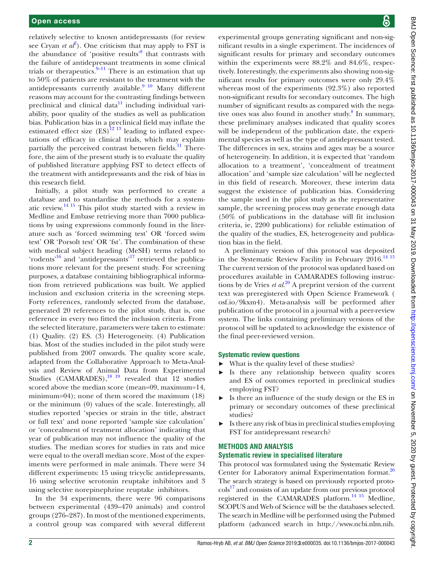relatively selective to known antidepressants (for review see Cryan *et*  $a\ell^2$  $a\ell^2$ ). One criticism that may apply to FST is the abundance of 'positive results'<sup>[8](#page-6-3)</sup> that contrasts with the failure of antidepressant treatments in some clinical trials or therapeutics. $9-11$  There is an estimation that up to 50% of patients are resistant to the treatment with the antidepressants currently available. $910$  Many different reasons may account for the contrasting findings between preclinical and clinical data $11$  including individual variability, poor quality of the studies as well as publication bias. Publication bias in a preclinical field may inflate the estimated effect size  $(ES)^{12}$ <sup>13</sup> leading to inflated expectations of efficacy in clinical trials, which may explain partially the perceived contrast between fields.<sup>[11](#page-6-5)</sup> Therefore, the aim of the present study is to evaluate the quality of published literature applying FST to detect effects of the treatment with antidepressants and the risk of bias in this research field.

Initially, a pilot study was performed to create a database and to standardise the methods for a systematic review[.14 15](#page-6-7) This pilot study started with a review in Medline and Embase retrieving more than 7000 publications by using expressions commonly found in the literature such as 'forced swimming test' OR 'forced swim test' OR 'Porsolt test' OR 'fst'. The combination of these with medical subject heading (MeSH) terms related to 'rodents<sup>'16</sup> and 'antidepressants'<sup>[17](#page-6-9)</sup> retrieved the publications more relevant for the present study. For screening purposes, a database containing bibliographical information from retrieved publications was built. We applied inclusion and exclusion criteria in the screening steps. Forty references, randomly selected from the database, generated 20 references to the pilot study, that is, one reference in every two fitted the inclusion criteria. From the selected literature, parameters were taken to estimate: (1) Quality. (2) ES. (3) Heterogeneity. (4) Publication bias. Most of the studies included in the pilot study were published from 2007 onwards. The quality score scale, adapted from the Collaborative Approach to Meta-Analysis and Review of Animal Data from Experimental Studies (CAMARADES), $^{18}$ <sup>19</sup> revealed that 12 studies scored above the median score (mean=09, maximum=14, minimum=04); none of them scored the maximum (18) or the minimum (0) values of the scale. Interestingly, all studies reported 'species or strain in the title, abstract or full text' and none reported 'sample size calculation' or 'concealment of treatment allocation' indicating that year of publication may not influence the quality of the studies. The median scores for studies in rats and mice were equal to the overall median score. Most of the experiments were performed in male animals. There were 34 different experiments: 15 using tricyclic antidepressants, 16 using selective serotonin reuptake inhibitors and 3 using selective norepinephrine reuptake inhibitors.

In the 34 experiments, there were 96 comparisons between experimental (439–470 animals) and control groups (276–287). In most of the mentioned experiments, a control group was compared with several different

experimental groups generating significant and non-significant results in a single experiment. The incidences of significant results for primary and secondary outcomes within the experiments were 88.2% and 84.6%, respectively. Interestingly, the experiments also showing non-significant results for primary outcomes were only 29.4% whereas most of the experiments (92.3%) also reported non-significant results for secondary outcomes. The high number of significant results as compared with the nega-tive ones was also found in another study.<sup>[8](#page-6-3)</sup> In summary, these preliminary analyses indicated that quality scores will be independent of the publication date, the experimental species as well as the type of antidepressant tested. The differences in sex, strains and ages may be a source of heterogeneity. In addition, it is expected that 'random allocation to a treatment', 'concealment of treatment allocation' and 'sample size calculation' will be neglected in this field of research. Moreover, these interim data suggest the existence of publication bias. Considering the sample used in the pilot study as the representative sample, the screening process may generate enough data (50% of publications in the database will fit inclusion criteria, ie, 2200 publications) for reliable estimation of the quality of the studies, ES, heterogeneity and publication bias in the field.

A preliminary version of this protocol was deposited in the Systematic Review Facility in February  $2016$ .<sup>[14 15](#page-6-7)</sup> The current version of the protocol was updated based on procedures available in CAMARADES following instructions by de Vries *et al*. [20](#page-6-11) A preprint version of the current text was preregistered with Open Science Framework ( osf.io/9kxm4). Meta-analysis will be performed after publication of the protocol in a journal with a peer-review system. The links containing preliminary versions of the protocol will be updated to acknowledge the existence of the final peer-reviewed version.

#### Systematic review questions

- ► What is the quality level of these studies?
- Is there any relationship between quality scores and ES of outcomes reported in preclinical studies employing FST?
- Is there an influence of the study design or the ES in primary or secondary outcomes of these preclinical studies?
- Is there any risk of bias in preclinical studies employing FST for antidepressant research?

## **Methods and analysis**

#### **Systematic review in specialised literature**

This protocol was formulated using the Systematic Review Center for Laboratory animal Experimentation format.<sup>20</sup> The search strategy is based on previously reported protocols<sup>17</sup> and consists of an update from our previous protocol registered in the CAMARADES platform.[14 15](#page-6-7) Medline, SCOPUS and Web of Science will be the databases selected. The search in Medline will be performed using the Pubmed platform (advanced search in [http://www.ncbi.nlm.nih.](http://www.ncbi.nlm.nih.gov/pubmed)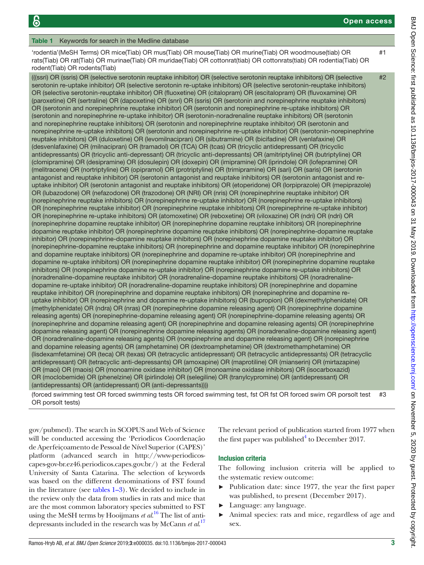<span id="page-3-0"></span>Table 1 Keywords for search in the Medline database 'rodentia'(MeSH Terms) OR mice(Tiab) OR mus(Tiab) OR mouse(Tiab) OR murine(Tiab) OR woodmouse(tiab) OR rats(Tiab) OR rat(Tiab) OR murinae(Tiab) OR muridae(Tiab) OR cottonrat(tiab) OR cottonrats(tiab) OR rodentia(Tiab) OR rodent(Tiab) OR rodents(Tiab) #1 (((ssri) OR (ssris) OR (selective serotonin reuptake inhibitor) OR (selective serotonin reuptake inhibitors) OR (selective serotonin re-uptake inhibitor) OR (selective serotonin re-uptake inhibitors) OR (selective serotonin-reuptake inhibitors) OR (selective serotonin-reuptake inhibitor) OR (fluoxetine) OR (citalopram) OR (escitalopram) OR (fluvoxamine) OR (paroxetine) OR (sertraline) OR (dapoxetine) OR (snri) OR (ssris) OR (serotonin and norepinephrine reuptake inhibitors) OR (serotonin and norepinephrine reuptake inhibitor) OR (serotonin and norepinephrine re-uptake inhibitors) OR (serotonin and norepinephrine re-uptake inhibitor) OR (serotonin-noradrenaline reuptake inhibitors) OR (serotonin and norepinephrine reuptake inhibitors) OR (serotonin and norepinephrine reuptake inhibitor) OR (serotonin and norepinephrine re-uptake inhibitors) OR (serotonin and norepinephrine re-uptake inhibitor) OR (serotonin-norepinephrine reuptake inhibitors) OR (duloxetine) OR (levomilnacipran) OR (sibutramine) OR (bicifadine) OR (venlafaxine) OR (desvenlafaxine) OR (milnacipran) OR (tramadol) OR (TCA) OR (tcas) OR (tricyclic antidepressant) OR (tricyclic antidepressants) OR (tricyclic anti-depressant) OR (tricyclic anti-depressants) OR (amitriptyline) OR (butriptyline) OR (clomipramine) OR (desipramine) OR (dosulepin) OR (doxepin) OR (imipramine) OR (iprindole) OR (lofepramine) OR (melitracene) OR (nortriptyline) OR (opipramol) OR (protriptyline) OR (trimipramine) OR (sari) OR (saris) OR (serotonin antagonist and reuptake inhibitor) OR (serotonin antagonist and reuptake inhibitors) OR (serotonin antagonist and reuptake inhibitor) OR (serotonin antagonist and reuptake inhibitors) OR (etoperidone) OR (lorpiprazole) OR (mepiprazole) OR (lubazodone) OR (nefazodone) OR (trazodone) OR (NRI) OR (nris) OR (norepinephrine reuptake inhibitor) OR (norepinephrine reuptake inhibitors) OR (norepinephrine re-uptake inhibitor) OR (norepinephrine re-uptake inhibitors) OR (norepinephrine reuptake inhibitor) OR (norepinephrine reuptake inhibitors) OR (norepinephrine re-uptake inhibitor) OR (norepinephrine re-uptake inhibitors) OR (atomoxetine) OR (reboxetine) OR (viloxazine) OR (ndri) OR (ndri) OR (norepinephrine dopamine reuptake inhibitor) OR (norepinephrine dopamine reuptake inhibitors) OR (norepinephrine dopamine reuptake inhibitor) OR (norepinephrine dopamine reuptake inhibitors) OR (norepinephrine-dopamine reuptake inhibitor) OR (norepinephrine-dopamine reuptake inhibitors) OR (norepinephrine dopamine reuptake inhibitor) OR (norepinephrine-dopamine reuptake inhibitors) OR (norepinephrine and dopamine reuptake inhibitor) OR (norepinephrine and dopamine reuptake inhibitors) OR (norepinephrine and dopamine re-uptake inhibitor) OR (norepinephrine and dopamine re-uptake inhibitors) OR (norepinephrine dopamine reuptake inhibitor) OR (norepinephrine dopamine reuptake inhibitors) OR (norepinephrine dopamine re-uptake inhibitor) OR (norepinephrine dopamine re-uptake inhibitors) OR (noradrenaline-dopamine reuptake inhibitor) OR (noradrenaline-dopamine reuptake inhibitors) OR (noradrenalinedopamine re-uptake inhibitor) OR (noradrenaline-dopamine reuptake inhibitors) OR (norepinephrine and dopamine reuptake inhibitor) OR (norepinephrine and dopamine reuptake inhibitors) OR (norepinephrine and dopamine reuptake inhibitor) OR (norepinephrine and dopamine re-uptake inhibitors) OR (bupropion) OR (dexmethylphenidate) OR (methylphenidate) OR (ndra) OR (nras) OR (norepinephrine dopamine releasing agent) OR (norepinephrine dopamine releasing agents) OR (norepinephrine-dopamine releasing agent) OR (norepinephrine-dopamine releasing agents) OR (norepinephrine and dopamine releasing agent) OR (norepinephrine and dopamine releasing agents) OR (norepinephrine dopamine releasing agent) OR (norepinephrine dopamine releasing agents) OR (noradrenaline-dopamine releasing agent) OR (noradrenaline-dopamine releasing agents) OR (norepinephrine and dopamine releasing agent) OR (norepinephrine and dopamine releasing agents) OR (amphetamine) OR (dextroamphetamine) OR (dextromethamphetamine) OR (lisdexamfetamine) OR (teca) OR (texas) OR (tetracyclic antidepressant) OR (tetracyclic antidepressants) OR (tetracyclic antidepressant) OR (tetracyclic anti-depressants) OR (amoxapine) OR (maprotiline) OR (mianserin) OR (mirtazapine) OR (maoi) OR (maois) OR (monoamine oxidase inhibitor) OR (monoamine oxidase inhibitors) OR (isocarboxazid) OR (moclobemide) OR (phenelzine) OR (pirlindole) OR (selegiline) OR (tranylcypromine) OR (antidepressant) OR (antidepressants) OR (antidepressant) OR (anti-depressants)))) #2

(forced swimming test OR forced swimming tests OR forced swimming test, fst OR fst OR forced swim OR porsolt test OR porsolt tests) #3

[gov/pubmed](http://www.ncbi.nlm.nih.gov/pubmed)). The search in SCOPUS and Web of Science will be conducted accessing the 'Periodicos Coordenação de Aperfeiçoamento de Pessoal de Nível Superior (CAPES)' platform (advanced search in [http://www-periodicos](http://www-periodicos-capes-gov-br.ez46.periodicos.capes.gov.br/)[capes-gov-br.ez46.periodicos.capes.gov.br/](http://www-periodicos-capes-gov-br.ez46.periodicos.capes.gov.br/)) at the Federal University of Santa Catarina. The selection of keywords was based on the different denominations of FST found in the literature (see [tables](#page-3-0) 1–3). We decided to include in the review only the data from studies in rats and mice that are the most common laboratory species submitted to FST using the MeSH terms by Hooijmans *et al*. [16](#page-6-8) The list of antidepressants included in the research was by McCann *et al*. [17](#page-6-9)

The relevant period of publication started from 1977 when the first paper was published $4$  to December 2017.

## Inclusion criteria

The following inclusion criteria will be applied to the systematic review outcome:

- ► Publication date: since 1977, the year the first paper was published, to present (December 2017).
- Language: any language.
- Animal species: rats and mice, regardless of age and sex.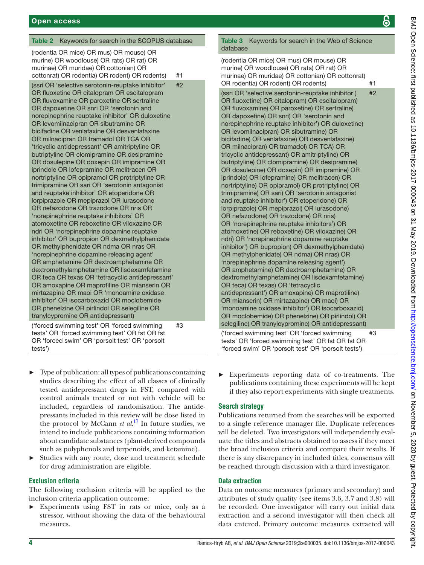#### Table 2 Keywords for search in the SCOPUS database

(rodentia OR mice) OR mus) OR mouse) OR murine) OR woodlouse) OR rats) OR rat) OR murinae) OR muridae) OR cottonian) OR cottonrat) OR rodentia) OR rodent) OR rodents) #1 (ssri OR 'selective serotonin-reuptake inhibitor' OR fluoxetine OR citalopram OR escitalopram OR fluvoxamine OR paroxetine OR sertraline OR dapoxetine OR snri OR 'serotonin and norepinephrine reuptake inhibitor' OR duloxetine OR levomilnacipran OR sibutramine OR bicifadine OR venlafaxine OR desvenlafaxine OR milnacipran OR tramadol OR TCA OR 'tricyclic antidepressant' OR amitriptyline OR butriptyline OR clomipramine OR desipramine OR dosulepine OR doxepin OR imipramine OR iprindole OR lofepramine OR melitracen OR nortriptyline OR opipramol OR protriptyline OR trimipramine OR sari OR 'serotonin antagonist and reuptake inhibitor' OR etoperidone OR lorpiprazole OR mepiprazol OR lurasodone OR nefazodone OR trazodone OR nris OR 'norepinephrine reuptake inhibitors' OR atomoxetine OR reboxetine OR viloxazine OR ndri OR 'norepinephrine dopamine reuptake inhibitor' OR bupropion OR dexmethylphenidate OR methylphenidate OR ndma OR nras OR 'norepinephrine dopamine releasing agent' OR amphetamine OR dextroamphetamine OR dextromethylamphetamine OR lisdexamfetamine OR teca OR texas OR 'tetracyclic antidepressant' OR amoxapine OR maprotiline OR mianserin OR mirtazapine OR maoi OR 'monoamine oxidase inhibitor' OR isocarboxazid OR moclobemide OR phenelzine OR pirlindol OR selegiline OR tranylcypromine OR antidepressant) #2

('forced swimming test' OR 'forced swimming tests' OR 'forced swimming test' OR fst OR fst OR 'forced swim' OR 'porsolt test' OR 'porsolt tests') #3

- ► Type of publication: all types of publications containing studies describing the effect of all classes of clinically tested antidepressant drugs in FST, compared with control animals treated or not with vehicle will be included, regardless of randomisation. The antidepressants included in this review will be dose listed in the protocol by McCann *et al*. [17](#page-6-9) In future studies, we intend to include publications containing information about candidate substances (plant-derived compounds such as polyphenols and terpenoids, and ketamine).
- Studies with any route, dose and treatment schedule for drug administration are eligible.

#### **Exclusion criteria**

The following exclusion criteria will be applied to the inclusion criteria application outcome:

► Experiments using FST in rats or mice, only as a stressor, without showing the data of the behavioural measures.

# Table 3 Keywords for search in the Web of Science

database (rodentia OR mice) OR mus) OR mouse) OR murine) OR woodlouse) OR rats) OR rat) OR murinae) OR muridae) OR cottonian) OR cottonrat) OR rodentia) OR rodent) OR rodents) #1 (ssri OR 'selective serotonin-reuptake inhibitor') OR fluoxetine) OR citalopram) OR escitalopram) OR fluvoxamine) OR paroxetine) OR sertraline) OR dapoxetine) OR snri) OR 'serotonin and norepinephrine reuptake inhibitor') OR duloxetine) OR levomilnacipran) OR sibutramine) OR bicifadine) OR venlafaxine) OR desvenlafaxine) OR milnacipran) OR tramadol) OR TCA) OR tricyclic antidepressant) OR amitriptyline) OR butriptyline) OR clomipramine) OR desipramine) OR dosulepine) OR doxepin) OR imipramine) OR iprindole) OR lofepramine) OR melitracen) OR nortriptyline) OR opipramol) OR protriptyline) OR trimipramine) OR sari) OR 'serotonin antagonist and reuptake inhibitor') OR etoperidone) OR lorpiprazole) OR mepiprazol) OR lurasodone) OR nefazodone) OR trazodone) OR nris) OR 'norepinephrine reuptake inhibitors') OR atomoxetine) OR reboxetine) OR viloxazine) OR ndri) OR 'norepinephrine dopamine reuptake inhibitor') OR bupropion) OR dexmethylphenidate) OR methylphenidate) OR ndma) OR nras) OR 'norepinephrine dopamine releasing agent') OR amphetamine) OR dextroamphetamine) OR dextromethylamphetamine) OR lisdexamfetamine) OR teca) OR texas) OR 'tetracyclic antidepressant') OR amoxapine) OR maprotiline) OR mianserin) OR mirtazapine) OR maoi) OR 'monoamine oxidase inhibitor') OR isocarboxazid) OR moclobemide) OR phenelzine) OR pirlindol) OR selegiline) OR tranylcypromine) OR antidepressant) #2 ('forced swimming test' OR 'forced swimming tests' OR 'forced swimming test' OR fst OR fst OR #3

Experiments reporting data of co-treatments. The publications containing these experiments will be kept if they also report experiments with single treatments.

'forced swim' OR 'porsolt test' OR 'porsolt tests')

#### **Search strategy**

Publications returned from the searches will be exported to a single reference manager file. Duplicate references will be deleted. Two investigators will independently evaluate the titles and abstracts obtained to assess if they meet the broad inclusion criteria and compare their results. If there is any discrepancy in included titles, consensus will be reached through discussion with a third investigator.

#### Data extraction

Data on outcome measures (primary and secondary) and attributes of study quality (see items 3.6, 3.7 and 3.8) will be recorded. One investigator will carry out initial data extraction and a second investigator will then check all data entered. Primary outcome measures extracted will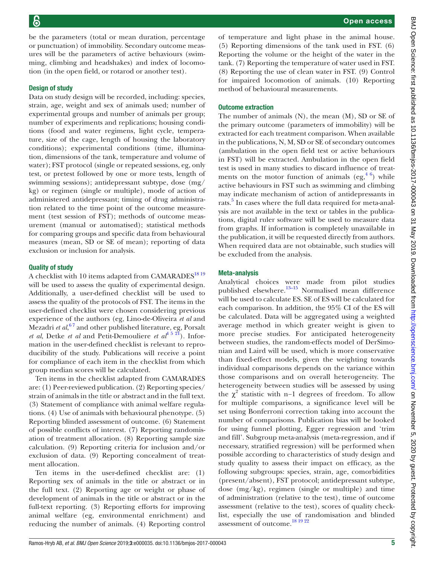be the parameters (total or mean duration, percentage or punctuation) of immobility. Secondary outcome measures will be the parameters of active behaviours (swimming, climbing and headshakes) and index of locomotion (in the open field, or rotarod or another test).

#### Design of study

Data on study design will be recorded, including: species, strain, age, weight and sex of animals used; number of experimental groups and number of animals per group; number of experiments and replications; housing conditions (food and water regimens, light cycle, temperature, size of the cage, length of housing the laboratory conditions); experimental conditions (time, illumination, dimensions of the tank, temperature and volume of water); FST protocol (single or repeated sessions, eg, only test, or pretest followed by one or more tests, length of swimming sessions); antidepressant subtype, dose (mg/ kg) or regimen (single or multiple), mode of action of administered antidepressant; timing of drug administration related to the time point of the outcome measurement (test session of FST); methods of outcome measurement (manual or automatised); statistical methods for comparing groups and specific data from behavioural measures (mean, SD or SE of mean); reporting of data exclusion or inclusion for analysis.

#### Quality of study

A checklist with 10 items adapted from CAMARADES<sup>1819</sup> will be used to assess the quality of experimental design. Additionally, a user-defined checklist will be used to assess the quality of the protocols of FST. The items in the user-defined checklist were chosen considering previous experience of the authors (eg, Lino-de-Oliveira *et al* and Mezadri *et al*, [6 7](#page-6-12) and other published literature, eg, Porsalt *et al.* Detke *et al* and Petit-Demouliere *et al*<sup>4 5 21</sup>). Information in the user-defined checklist is relevant to reproducibility of the study. Publications will receive a point for compliance of each item in the checklist from which group median scores will be calculated.

Ten items in the checklist adapted from CAMARADES are: (1) Peer-reviewed publication. (2) Reporting species/ strain of animals in the title or abstract and in the full text. (3) Statement of compliance with animal welfare regulations. (4) Use of animals with behavioural phenotype. (5) Reporting blinded assessment of outcome. (6) Statement of possible conflicts of interest. (7) Reporting randomisation of treatment allocation. (8) Reporting sample size calculation. (9) Reporting criteria for inclusion and/or exclusion of data. (9) Reporting concealment of treatment allocation.

Ten items in the user-defined checklist are: (1) Reporting sex of animals in the title or abstract or in the full text. (2) Reporting age or weight or phase of development of animals in the title or abstract or in the full-text reporting. (3) Reporting efforts for improving animal welfare (eg, environmental enrichment) and reducing the number of animals. (4) Reporting control

of temperature and light phase in the animal house. (5) Reporting dimensions of the tank used in FST. (6) Reporting the volume or the height of the water in the tank. (7) Reporting the temperature of water used in FST. (8) Reporting the use of clean water in FST. (9) Control for impaired locomotion of animals. (10) Reporting method of behavioural measurements.

#### Outcome extraction

The number of animals (N), the mean (M), SD or SE of the primary outcome (parameters of immobility) will be extracted for each treatment comparison. When available in the publications, N, M, SD or SE of secondary outcomes (ambulation in the open field test or active behaviours in FST) will be extracted. Ambulation in the open field test is used in many studies to discard influence of treatments on the motor function of animals  $(eg, \frac{4}{6})$  while active behaviours in FST such as swimming and climbing may indicate mechanism of action of antidepressants in rats.<sup>[5](#page-6-13)</sup> In cases where the full data required for meta-analysis are not available in the text or tables in the publications, digital ruler software will be used to measure data from graphs. If information is completely unavailable in the publication, it will be requested directly from authors. When required data are not obtainable, such studies will be excluded from the analysis.

#### Meta-analysis

Analytical choices were made from pilot studies published elsewhere.<sup>13–15</sup> Normalised mean difference will be used to calculate ES. SE of ES will be calculated for each comparison. In addition, the 95% CI of the ES will be calculated. Data will be aggregated using a weighted average method in which greater weight is given to more precise studies. For anticipated heterogeneity between studies, the random-effects model of DerSimonian and Laird will be used, which is more conservative than fixed-effect models, given the weighting towards individual comparisons depends on the variance within those comparisons and on overall heterogeneity. The heterogeneity between studies will be assessed by using the  $\chi^2$  statistic with n−1 degrees of freedom. To allow for multiple comparisons, a significance level will be set using Bonferroni correction taking into account the number of comparisons. Publication bias will be looked for using funnel plotting, Egger regression and 'trim and fill'. Subgroup meta-analysis (meta-regression, and if necessary, stratified regression) will be performed when possible according to characteristics of study design and study quality to assess their impact on efficacy, as the following subgroups: species, strain, age, comorbidities (present/absent), FST protocol; antidepressant subtype, dose (mg/kg), regimen (single or multiple) and time of administration (relative to the test), time of outcome assessment (relative to the test), scores of quality checklist, especially the use of randomisation and blinded assessment of outcome.<sup>[18 19 22](#page-6-10)</sup>